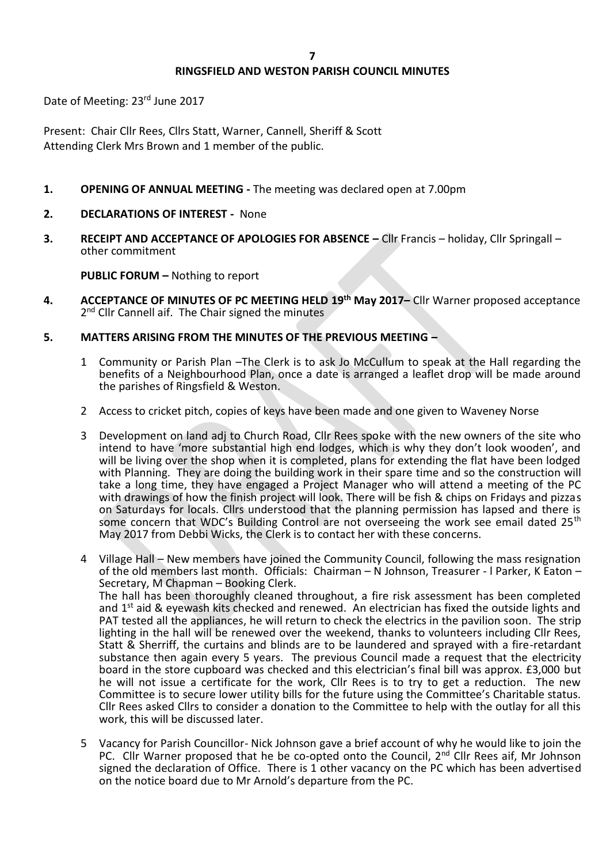# **RINGSFIELD AND WESTON PARISH COUNCIL MINUTES**

Date of Meeting: 23rd June 2017

Present: Chair Cllr Rees, Cllrs Statt, Warner, Cannell, Sheriff & Scott Attending Clerk Mrs Brown and 1 member of the public.

- **1. OPENING OF ANNUAL MEETING -** The meeting was declared open at 7.00pm
- **2. DECLARATIONS OF INTEREST** None
- **3. RECEIPT AND ACCEPTANCE OF APOLOGIES FOR ABSENCE –** Cllr Francis holiday, Cllr Springall other commitment

**PUBLIC FORUM –** Nothing to report

- **4. ACCEPTANCE OF MINUTES OF PC MEETING HELD 19th May 2017–** Cllr Warner proposed acceptance 2<sup>nd</sup> Cllr Cannell aif. The Chair signed the minutes
- **5. MATTERS ARISING FROM THE MINUTES OF THE PREVIOUS MEETING –**
	- 1 Community or Parish Plan –The Clerk is to ask Jo McCullum to speak at the Hall regarding the benefits of a Neighbourhood Plan, once a date is arranged a leaflet drop will be made around the parishes of Ringsfield & Weston.
	- 2 Access to cricket pitch, copies of keys have been made and one given to Waveney Norse
	- 3 Development on land adj to Church Road, Cllr Rees spoke with the new owners of the site who intend to have 'more substantial high end lodges, which is why they don't look wooden', and will be living over the shop when it is completed, plans for extending the flat have been lodged with Planning. They are doing the building work in their spare time and so the construction will take a long time, they have engaged a Project Manager who will attend a meeting of the PC with drawings of how the finish project will look. There will be fish & chips on Fridays and pizzas on Saturdays for locals. Cllrs understood that the planning permission has lapsed and there is some concern that WDC's Building Control are not overseeing the work see email dated 25<sup>th</sup> May 2017 from Debbi Wicks, the Clerk is to contact her with these concerns.
	- 4 Village Hall New members have joined the Community Council, following the mass resignation of the old members last month. Officials: Chairman – N Johnson, Treasurer - l Parker, K Eaton – Secretary, M Chapman – Booking Clerk. The hall has been thoroughly cleaned throughout, a fire risk assessment has been completed and 1<sup>st</sup> aid & eyewash kits checked and renewed. An electrician has fixed the outside lights and PAT tested all the appliances, he will return to check the electrics in the pavilion soon. The strip lighting in the hall will be renewed over the weekend, thanks to volunteers including Cllr Rees, Statt & Sherriff, the curtains and blinds are to be laundered and sprayed with a fire-retardant substance then again every 5 years. The previous Council made a request that the electricity board in the store cupboard was checked and this electrician's final bill was approx. £3,000 but he will not issue a certificate for the work, Cllr Rees is to try to get a reduction. The new Committee is to secure lower utility bills for the future using the Committee's Charitable status. Cllr Rees asked Cllrs to consider a donation to the Committee to help with the outlay for all this work, this will be discussed later.
	- 5 Vacancy for Parish Councillor- Nick Johnson gave a brief account of why he would like to join the PC. Cllr Warner proposed that he be co-opted onto the Council, 2<sup>nd</sup> Cllr Rees aif, Mr Johnson signed the declaration of Office. There is 1 other vacancy on the PC which has been advertised on the notice board due to Mr Arnold's departure from the PC.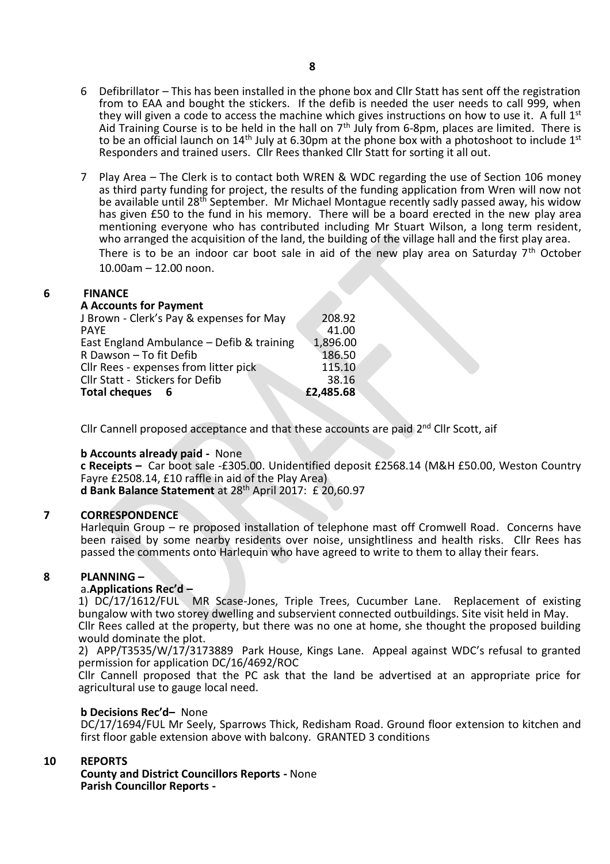7 Play Area – The Clerk is to contact both WREN & WDC regarding the use of Section 106 money as third party funding for project, the results of the funding application from Wren will now not be available until 28<sup>th</sup> September. Mr Michael Montague recently sadly passed away, his widow has given £50 to the fund in his memory. There will be a board erected in the new play area mentioning everyone who has contributed including Mr Stuart Wilson, a long term resident, who arranged the acquisition of the land, the building of the village hall and the first play area. There is to be an indoor car boot sale in aid of the new play area on Saturday  $7<sup>th</sup>$  October 10.00am – 12.00 noon.

## **6 FINANCE**

#### **A Accounts for Payment**

| Total cheques 6                           | £2,485.68 |
|-------------------------------------------|-----------|
| Cllr Statt - Stickers for Defib           | 38.16     |
| Cllr Rees - expenses from litter pick     | 115.10    |
| R Dawson - To fit Defib                   | 186.50    |
| East England Ambulance - Defib & training | 1,896.00  |
| PAYE                                      | 41.00     |
| J Brown - Clerk's Pay & expenses for May  | 208.92    |
|                                           |           |

Cllr Cannell proposed acceptance and that these accounts are paid 2<sup>nd</sup> Cllr Scott, aif

## **b Accounts already paid -** None

**c Receipts –** Car boot sale -£305.00. Unidentified deposit £2568.14 (M&H £50.00, Weston Country Fayre £2508.14, £10 raffle in aid of the Play Area) **d Bank Balance Statement** at 28th April 2017: £ 20,60.97

## **7 CORRESPONDENCE**

Harlequin Group – re proposed installation of telephone mast off Cromwell Road. Concerns have been raised by some nearby residents over noise, unsightliness and health risks. Cllr Rees has passed the comments onto Harlequin who have agreed to write to them to allay their fears.

## **8 PLANNING –**

## a.**Applications Rec'd –**

1) DC/17/1612/FUL MR Scase-Jones, Triple Trees, Cucumber Lane. Replacement of existing bungalow with two storey dwelling and subservient connected outbuildings. Site visit held in May. Cllr Rees called at the property, but there was no one at home, she thought the proposed building would dominate the plot.

2) APP/T3535/W/17/3173889 Park House, Kings Lane. Appeal against WDC's refusal to granted permission for application DC/16/4692/ROC

Cllr Cannell proposed that the PC ask that the land be advertised at an appropriate price for agricultural use to gauge local need.

## **b Decisions Rec'd–** None

DC/17/1694/FUL Mr Seely, Sparrows Thick, Redisham Road. Ground floor extension to kitchen and first floor gable extension above with balcony. GRANTED 3 conditions

## **10 REPORTS**

**County and District Councillors Reports -** None **Parish Councillor Reports -** 

Responders and trained users. Cllr Rees thanked Cllr Statt for sorting it all out.